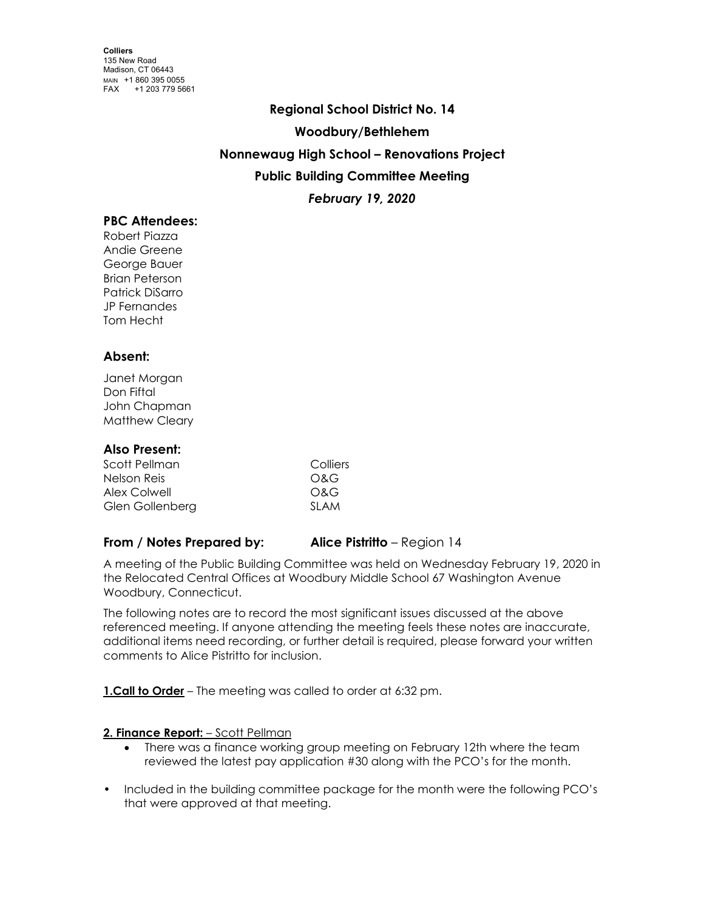# **Regional School District No. 14 Woodbury/Bethlehem Nonnewaug High School – Renovations Project Public Building Committee Meeting** *February 19, 2020*

# **PBC Attendees:**

Robert Piazza Andie Greene George Bauer Brian Peterson Patrick DiSarro JP Fernandes Tom Hecht

## **Absent:**

Janet Morgan Don Fiftal John Chapman Matthew Cleary

### **Also Present:**

| Scott Pellman   | Colliers |
|-----------------|----------|
| Nelson Reis     | O&G      |
| Alex Colwell    | O&G      |
| Glen Gollenberg | SI AM    |

## **From / Notes Prepared by: Alice Pistritto** – Region 14

A meeting of the Public Building Committee was held on Wednesday February 19, 2020 in the Relocated Central Offices at Woodbury Middle School 67 Washington Avenue Woodbury, Connecticut.

The following notes are to record the most significant issues discussed at the above referenced meeting. If anyone attending the meeting feels these notes are inaccurate, additional items need recording, or further detail is required, please forward your written comments to Alice Pistritto for inclusion.

**1.Call to Order** – The meeting was called to order at 6:32 pm.

#### 2. Finance Report: - Scott Pellman

- There was a finance working group meeting on February 12th where the team reviewed the latest pay application #30 along with the PCO's for the month.
- Included in the building committee package for the month were the following PCO's that were approved at that meeting.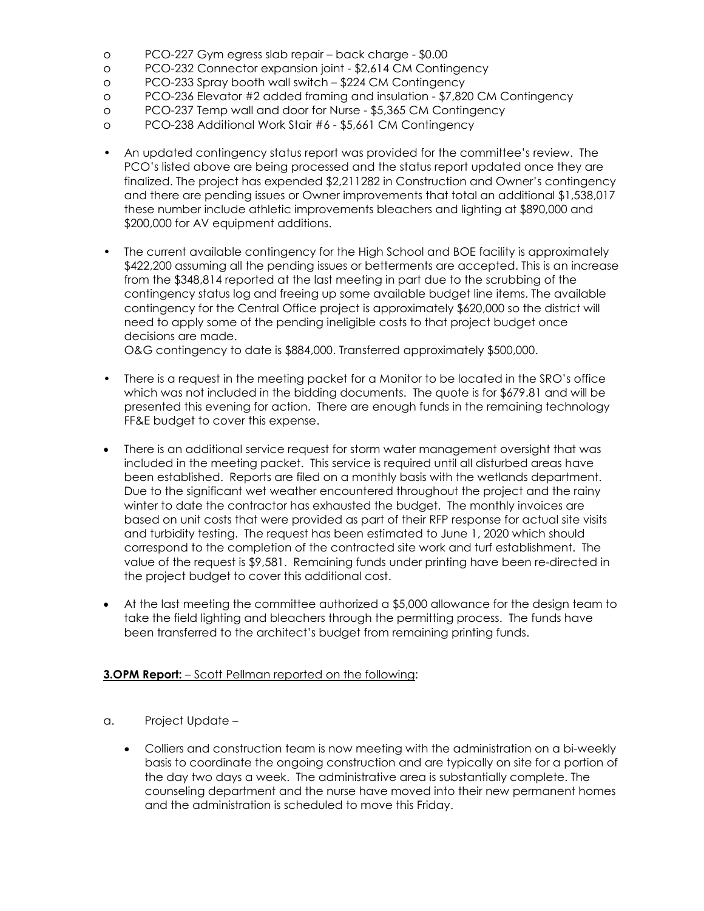- o PCO-227 Gym egress slab repair back charge \$0.00
- o PCO-232 Connector expansion joint \$2,614 CM Contingency
- o PCO-233 Spray booth wall switch \$224 CM Contingency
- o PCO-236 Elevator #2 added framing and insulation \$7,820 CM Contingency
- o PCO-237 Temp wall and door for Nurse \$5,365 CM Contingency
- o PCO-238 Additional Work Stair #6 \$5,661 CM Contingency
- An updated contingency status report was provided for the committee's review. The PCO's listed above are being processed and the status report updated once they are finalized. The project has expended \$2,211282 in Construction and Owner's contingency and there are pending issues or Owner improvements that total an additional \$1,538,017 these number include athletic improvements bleachers and lighting at \$890,000 and \$200,000 for AV equipment additions.
- The current available contingency for the High School and BOE facility is approximately \$422,200 assuming all the pending issues or betterments are accepted. This is an increase from the \$348,814 reported at the last meeting in part due to the scrubbing of the contingency status log and freeing up some available budget line items. The available contingency for the Central Office project is approximately \$620,000 so the district will need to apply some of the pending ineligible costs to that project budget once decisions are made.

O&G contingency to date is \$884,000. Transferred approximately \$500,000.

- There is a request in the meeting packet for a Monitor to be located in the SRO's office which was not included in the bidding documents. The quote is for \$679.81 and will be presented this evening for action. There are enough funds in the remaining technology FF&E budget to cover this expense.
- There is an additional service request for storm water management oversight that was included in the meeting packet. This service is required until all disturbed areas have been established. Reports are filed on a monthly basis with the wetlands department. Due to the significant wet weather encountered throughout the project and the rainy winter to date the contractor has exhausted the budget. The monthly invoices are based on unit costs that were provided as part of their RFP response for actual site visits and turbidity testing. The request has been estimated to June 1, 2020 which should correspond to the completion of the contracted site work and turf establishment. The value of the request is \$9,581. Remaining funds under printing have been re-directed in the project budget to cover this additional cost.
- At the last meeting the committee authorized a \$5,000 allowance for the design team to take the field lighting and bleachers through the permitting process. The funds have been transferred to the architect's budget from remaining printing funds.

#### **3.OPM Report:**  $-$  Scott Pellman reported on the following:

- a. Project Update
	- Colliers and construction team is now meeting with the administration on a bi-weekly basis to coordinate the ongoing construction and are typically on site for a portion of the day two days a week. The administrative area is substantially complete. The counseling department and the nurse have moved into their new permanent homes and the administration is scheduled to move this Friday.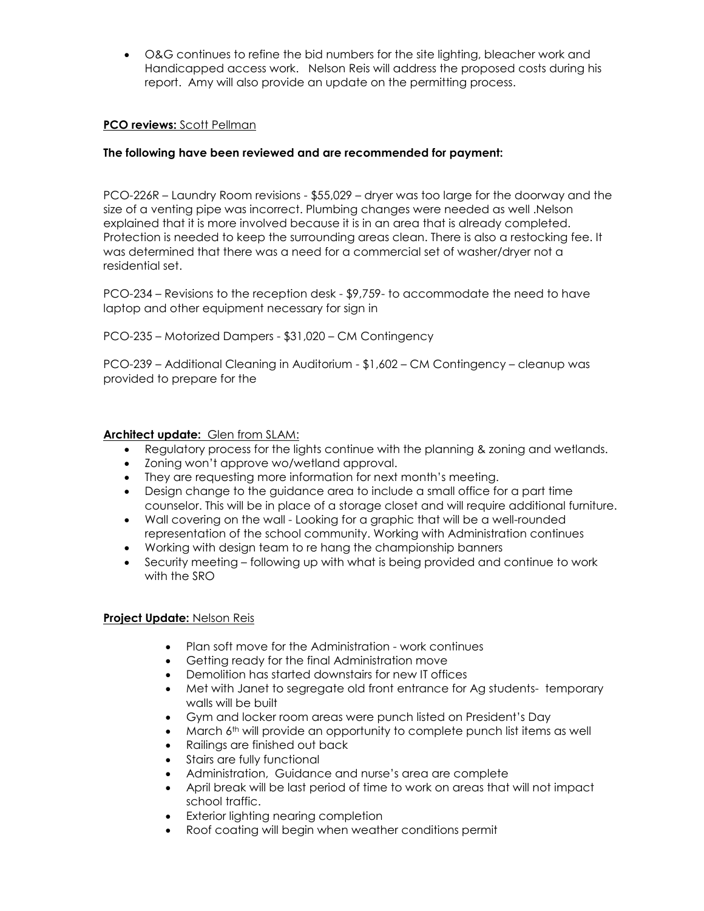• O&G continues to refine the bid numbers for the site lighting, bleacher work and Handicapped access work. Nelson Reis will address the proposed costs during his report. Amy will also provide an update on the permitting process.

## **PCO reviews:** Scott Pellman

#### **The following have been reviewed and are recommended for payment:**

PCO-226R – Laundry Room revisions - \$55,029 – dryer was too large for the doorway and the size of a venting pipe was incorrect. Plumbing changes were needed as well .Nelson explained that it is more involved because it is in an area that is already completed. Protection is needed to keep the surrounding areas clean. There is also a restocking fee. It was determined that there was a need for a commercial set of washer/dryer not a residential set.

PCO-234 – Revisions to the reception desk - \$9,759- to accommodate the need to have laptop and other equipment necessary for sign in

PCO-235 – Motorized Dampers - \$31,020 – CM Contingency

PCO-239 – Additional Cleaning in Auditorium - \$1,602 – CM Contingency – cleanup was provided to prepare for the

#### **Architect update:** Glen from SLAM:

- Regulatory process for the lights continue with the planning & zoning and wetlands.
- Zoning won't approve wo/wetland approval.
- They are requesting more information for next month's meeting.
- Design change to the guidance area to include a small office for a part time counselor. This will be in place of a storage closet and will require additional furniture.
- Wall covering on the wall Looking for a graphic that will be a well-rounded representation of the school community. Working with Administration continues
- Working with design team to re hang the championship banners
- Security meeting following up with what is being provided and continue to work with the SRO

#### **Project Update:** Nelson Reis

- Plan soft move for the Administration work continues
- Getting ready for the final Administration move
- Demolition has started downstairs for new IT offices
- Met with Janet to segregate old front entrance for Ag students- temporary walls will be built
- Gym and locker room areas were punch listed on President's Day
- March 6<sup>th</sup> will provide an opportunity to complete punch list items as well
- Railings are finished out back
- Stairs are fully functional
- Administration, Guidance and nurse's area are complete
- April break will be last period of time to work on areas that will not impact school traffic.
- Exterior lighting nearing completion
- Roof coating will begin when weather conditions permit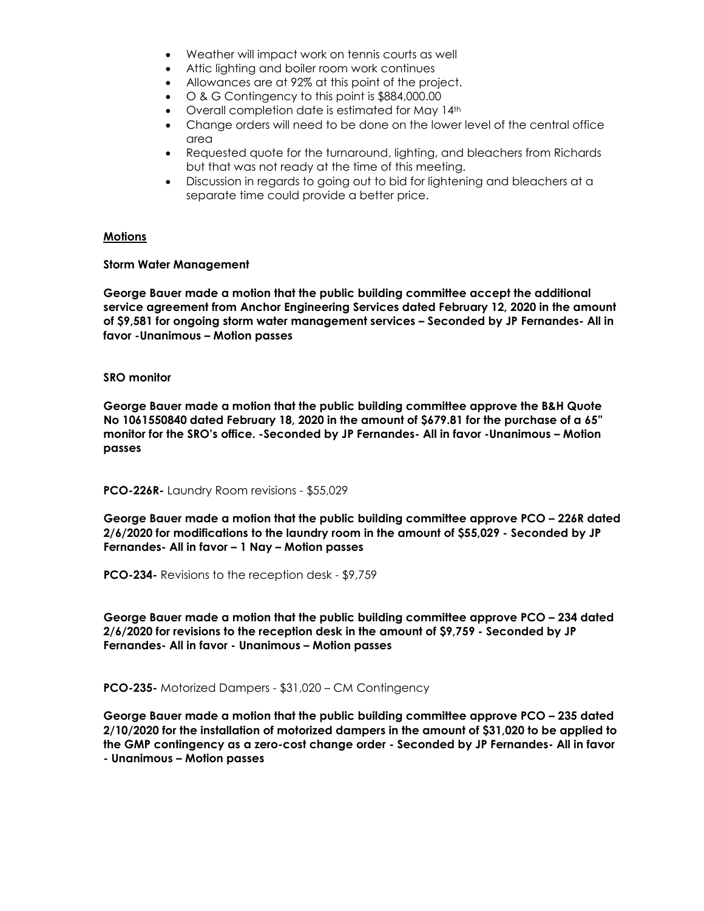- Weather will impact work on tennis courts as well
- Attic lighting and boiler room work continues
- Allowances are at 92% at this point of the project.
- O & G Contingency to this point is \$884,000.00
- Overall completion date is estimated for May 14<sup>th</sup>
- Change orders will need to be done on the lower level of the central office area
- Requested quote for the turnaround, lighting, and bleachers from Richards but that was not ready at the time of this meeting.
- Discussion in regards to going out to bid for lightening and bleachers at a separate time could provide a better price.

#### **Motions**

#### **Storm Water Management**

**George Bauer made a motion that the public building committee accept the additional service agreement from Anchor Engineering Services dated February 12, 2020 in the amount of \$9,581 for ongoing storm water management services – Seconded by JP Fernandes- All in favor -Unanimous – Motion passes**

#### **SRO monitor**

**George Bauer made a motion that the public building committee approve the B&H Quote No 1061550840 dated February 18, 2020 in the amount of \$679.81 for the purchase of a 65" monitor for the SRO's office. -Seconded by JP Fernandes- All in favor -Unanimous – Motion passes**

#### **PCO-226R-** Laundry Room revisions - \$55,029

**George Bauer made a motion that the public building committee approve PCO – 226R dated 2/6/2020 for modifications to the laundry room in the amount of \$55,029 - Seconded by JP Fernandes- All in favor – 1 Nay – Motion passes**

**PCO-234-** Revisions to the reception desk - \$9,759

**George Bauer made a motion that the public building committee approve PCO – 234 dated 2/6/2020 for revisions to the reception desk in the amount of \$9,759 - Seconded by JP Fernandes- All in favor - Unanimous – Motion passes**

**PCO-235-** Motorized Dampers - \$31,020 – CM Contingency

**George Bauer made a motion that the public building committee approve PCO – 235 dated 2/10/2020 for the installation of motorized dampers in the amount of \$31,020 to be applied to the GMP contingency as a zero-cost change order - Seconded by JP Fernandes- All in favor - Unanimous – Motion passes**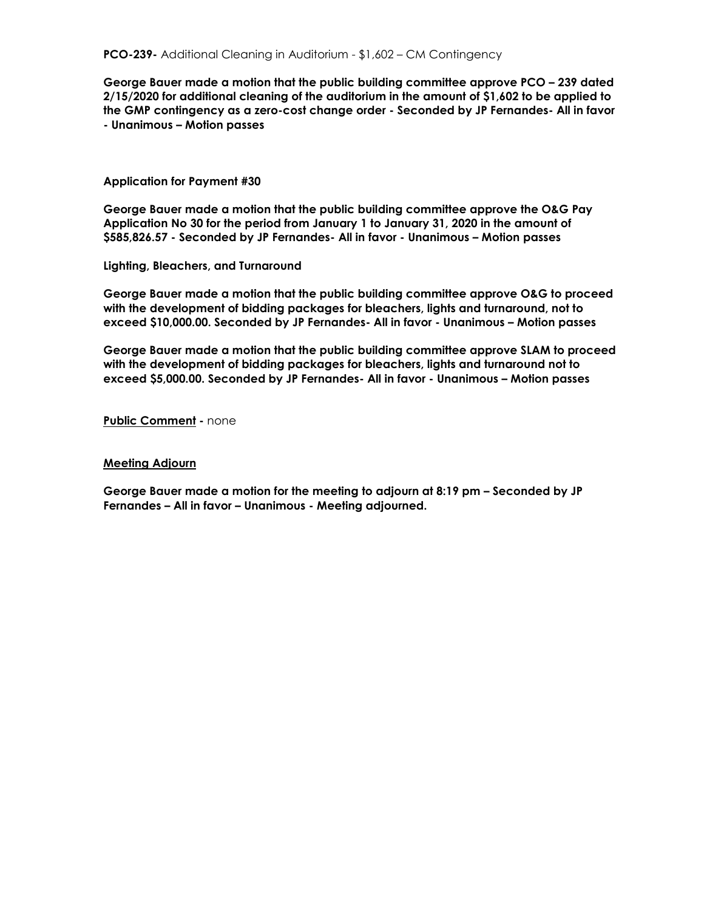**George Bauer made a motion that the public building committee approve PCO – 239 dated 2/15/2020 for additional cleaning of the auditorium in the amount of \$1,602 to be applied to the GMP contingency as a zero-cost change order - Seconded by JP Fernandes- All in favor - Unanimous – Motion passes**

#### **Application for Payment #30**

**George Bauer made a motion that the public building committee approve the O&G Pay Application No 30 for the period from January 1 to January 31, 2020 in the amount of \$585,826.57 - Seconded by JP Fernandes- All in favor - Unanimous – Motion passes**

**Lighting, Bleachers, and Turnaround**

**George Bauer made a motion that the public building committee approve O&G to proceed with the development of bidding packages for bleachers, lights and turnaround, not to exceed \$10,000.00. Seconded by JP Fernandes- All in favor - Unanimous – Motion passes**

**George Bauer made a motion that the public building committee approve SLAM to proceed with the development of bidding packages for bleachers, lights and turnaround not to exceed \$5,000.00. Seconded by JP Fernandes- All in favor - Unanimous – Motion passes**

**Public Comment -** none

#### **Meeting Adjourn**

**George Bauer made a motion for the meeting to adjourn at 8:19 pm – Seconded by JP Fernandes – All in favor – Unanimous - Meeting adjourned.**